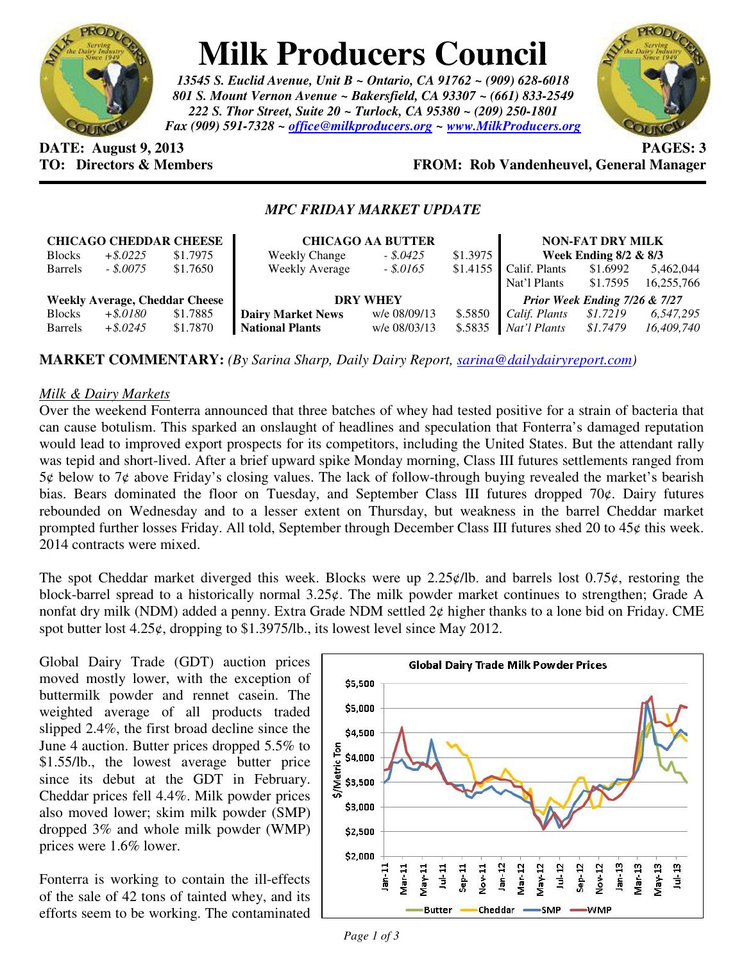

# **Milk Producers Council**

*13545 S. Euclid Avenue, Unit B ~ Ontario, CA 91762 ~ (909) 628-6018 801 S. Mount Vernon Avenue ~ Bakersfield, CA 93307 ~ (661) 833-2549 222 S. Thor Street, Suite 20 ~ Turlock, CA 95380 ~ (209) 250-1801 Fax (909) 591-7328 ~ office@milkproducers.org ~ www.MilkProducers.org*



**DATE: August 9, 2013 PAGES: 3** 

## **TO: Directors & Members FROM: Rob Vandenheuvel, General Manager**

### *MPC FRIDAY MARKET UPDATE*

| <b>CHICAGO CHEDDAR CHEESE</b>         |             |          | <b>CHICAGO AA BUTTER</b> |              |          | <b>NON-FAT DRY MILK</b>       |                          |            |
|---------------------------------------|-------------|----------|--------------------------|--------------|----------|-------------------------------|--------------------------|------------|
| <b>Blocks</b>                         | $+$ \$.0225 | \$1.7975 | <b>Weekly Change</b>     | $-.5.0425$   | \$1.3975 |                               | Week Ending $8/2 \& 8/3$ |            |
| <b>Barrels</b>                        | $-.8.0075$  | \$1.7650 | <b>Weekly Average</b>    | $-.5.0165$   | \$1.4155 | Calif. Plants                 | \$1.6992                 | 5,462,044  |
|                                       |             |          |                          |              |          | Nat'l Plants                  | \$1.7595                 | 16,255,766 |
| <b>Weekly Average, Cheddar Cheese</b> |             |          | <b>DRY WHEY</b>          |              |          | Prior Week Ending 7/26 & 7/27 |                          |            |
| <b>Blocks</b>                         | $+ $.0180$  | \$1.7885 | <b>Dairy Market News</b> | w/e 08/09/13 | \$.5850  | Calif. Plants                 | \$1.7219                 | 6,547,295  |
| <b>Barrels</b>                        | $+$ \$.0245 | \$1.7870 | <b>National Plants</b>   | w/e 08/03/13 | \$.5835  | Nat'l Plants                  | \$1.7479                 | 16,409,740 |

**MARKET COMMENTARY:** *(By Sarina Sharp, Daily Dairy Report, sarina@dailydairyreport.com)* 

#### *Milk & Dairy Markets*

Over the weekend Fonterra announced that three batches of whey had tested positive for a strain of bacteria that can cause botulism. This sparked an onslaught of headlines and speculation that Fonterra's damaged reputation would lead to improved export prospects for its competitors, including the United States. But the attendant rally was tepid and short-lived. After a brief upward spike Monday morning, Class III futures settlements ranged from  $5¢$  below to  $7¢$  above Friday's closing values. The lack of follow-through buying revealed the market's bearish bias. Bears dominated the floor on Tuesday, and September Class III futures dropped 70¢. Dairy futures rebounded on Wednesday and to a lesser extent on Thursday, but weakness in the barrel Cheddar market prompted further losses Friday. All told, September through December Class III futures shed 20 to 45¢ this week. 2014 contracts were mixed.

The spot Cheddar market diverged this week. Blocks were up  $2.25\frac{\epsilon}{lb}$  and barrels lost  $0.75\epsilon$ , restoring the block-barrel spread to a historically normal 3.25¢. The milk powder market continues to strengthen; Grade A nonfat dry milk (NDM) added a penny. Extra Grade NDM settled 2¢ higher thanks to a lone bid on Friday. CME spot butter lost 4.25¢, dropping to \$1.3975/lb., its lowest level since May 2012.

Global Dairy Trade (GDT) auction prices moved mostly lower, with the exception of buttermilk powder and rennet casein. The weighted average of all products traded slipped 2.4%, the first broad decline since the June 4 auction. Butter prices dropped 5.5% to \$1.55/lb., the lowest average butter price since its debut at the GDT in February. Cheddar prices fell 4.4%. Milk powder prices also moved lower; skim milk powder (SMP) dropped 3% and whole milk powder (WMP) prices were 1.6% lower.

Fonterra is working to contain the ill-effects of the sale of 42 tons of tainted whey, and its efforts seem to be working. The contaminated

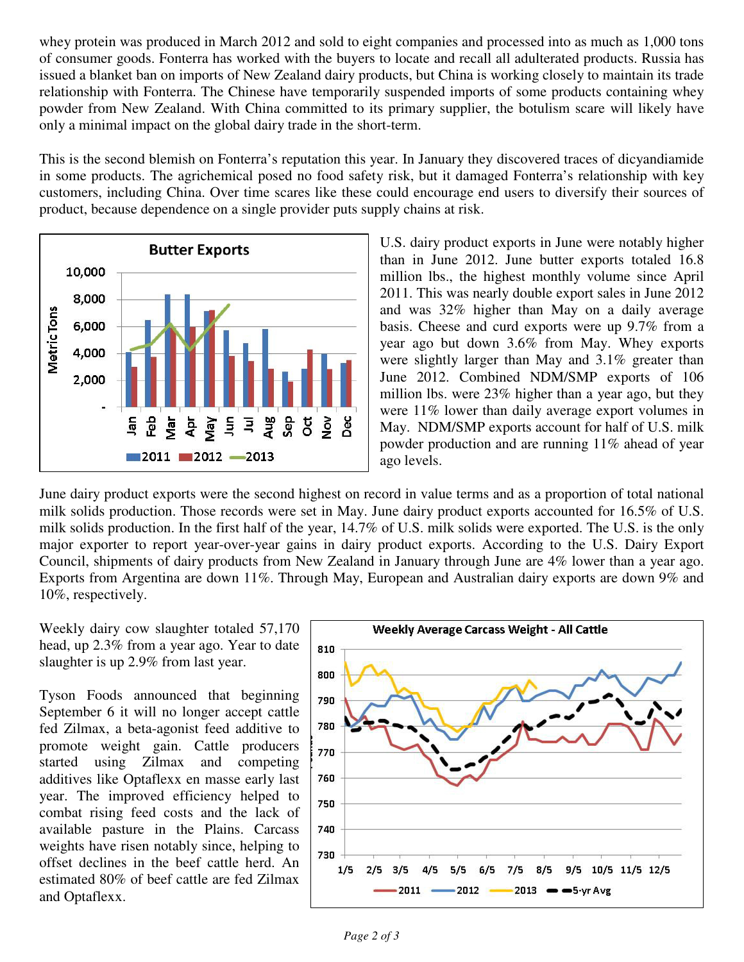whey protein was produced in March 2012 and sold to eight companies and processed into as much as 1,000 tons of consumer goods. Fonterra has worked with the buyers to locate and recall all adulterated products. Russia has issued a blanket ban on imports of New Zealand dairy products, but China is working closely to maintain its trade relationship with Fonterra. The Chinese have temporarily suspended imports of some products containing whey powder from New Zealand. With China committed to its primary supplier, the botulism scare will likely have only a minimal impact on the global dairy trade in the short-term.

This is the second blemish on Fonterra's reputation this year. In January they discovered traces of dicyandiamide in some products. The agrichemical posed no food safety risk, but it damaged Fonterra's relationship with key customers, including China. Over time scares like these could encourage end users to diversify their sources of product, because dependence on a single provider puts supply chains at risk.



U.S. dairy product exports in June were notably higher than in June 2012. June butter exports totaled 16.8 million lbs., the highest monthly volume since April 2011. This was nearly double export sales in June 2012 and was 32% higher than May on a daily average basis. Cheese and curd exports were up 9.7% from a year ago but down 3.6% from May. Whey exports were slightly larger than May and 3.1% greater than June 2012. Combined NDM/SMP exports of 106 million lbs. were 23% higher than a year ago, but they were 11% lower than daily average export volumes in May. NDM/SMP exports account for half of U.S. milk powder production and are running 11% ahead of year ago levels.

June dairy product exports were the second highest on record in value terms and as a proportion of total national milk solids production. Those records were set in May. June dairy product exports accounted for 16.5% of U.S. milk solids production. In the first half of the year, 14.7% of U.S. milk solids were exported. The U.S. is the only major exporter to report year-over-year gains in dairy product exports. According to the U.S. Dairy Export Council, shipments of dairy products from New Zealand in January through June are 4% lower than a year ago. Exports from Argentina are down 11%. Through May, European and Australian dairy exports are down 9% and 10%, respectively.

Weekly dairy cow slaughter totaled 57,170 head, up 2.3% from a year ago. Year to date slaughter is up 2.9% from last year.

Tyson Foods announced that beginning September 6 it will no longer accept cattle fed Zilmax, a beta-agonist feed additive to promote weight gain. Cattle producers started using Zilmax and competing additives like Optaflexx en masse early last year. The improved efficiency helped to combat rising feed costs and the lack of available pasture in the Plains. Carcass weights have risen notably since, helping to offset declines in the beef cattle herd. An estimated 80% of beef cattle are fed Zilmax and Optaflexx.